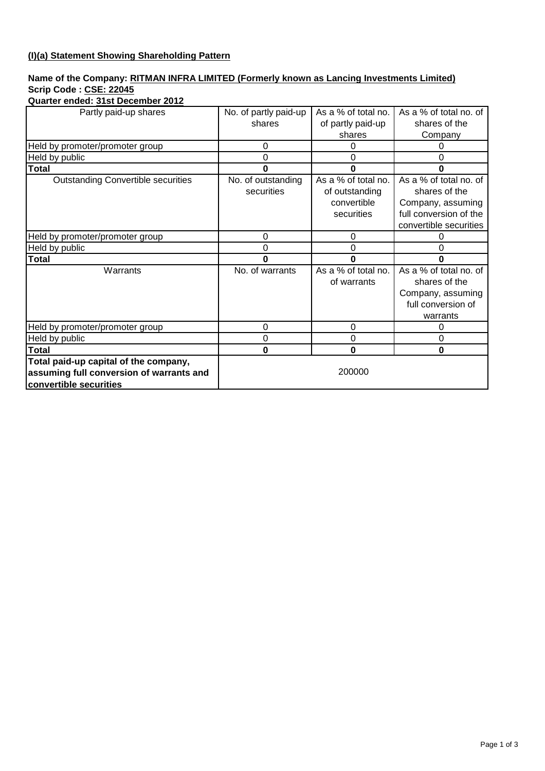# **(I)(a) Statement Showing Shareholding Pattern**

## **Name of the Company: RITMAN INFRA LIMITED (Formerly known as Lancing Investments Limited) Scrip Code : CSE: 22045**

| Quarter ended: 31st December 2012 |  |  |
|-----------------------------------|--|--|
|                                   |  |  |

| Partly paid-up shares                     | No. of partly paid-up | As a % of total no. | As a % of total no. of |
|-------------------------------------------|-----------------------|---------------------|------------------------|
|                                           | shares                | of partly paid-up   | shares of the          |
|                                           |                       | shares              | Company                |
| Held by promoter/promoter group           | 0                     | 0                   |                        |
| Held by public                            | 0                     | 0                   | 0                      |
| <b>Total</b>                              | 0                     | 0                   | ი                      |
| <b>Outstanding Convertible securities</b> | No. of outstanding    | As a % of total no. | As a % of total no. of |
|                                           | securities            | of outstanding      | shares of the          |
|                                           |                       | convertible         | Company, assuming      |
|                                           |                       | securities          | full conversion of the |
|                                           |                       |                     | convertible securities |
| Held by promoter/promoter group           | 0                     | $\Omega$            |                        |
| Held by public                            | 0                     | $\Omega$            | ი                      |
| <b>Total</b>                              | 0                     | O                   |                        |
| Warrants                                  | No. of warrants       | As a % of total no. | As a % of total no. of |
|                                           |                       | of warrants         | shares of the          |
|                                           |                       |                     | Company, assuming      |
|                                           |                       |                     | full conversion of     |
|                                           |                       |                     | warrants               |
| Held by promoter/promoter group           | 0                     | 0                   | 0                      |
| Held by public                            | 0                     | 0                   | 0                      |
| Total                                     | 0                     | $\bf{0}$            | 0                      |
| Total paid-up capital of the company,     |                       |                     |                        |
| assuming full conversion of warrants and  | 200000                |                     |                        |
| convertible securities                    |                       |                     |                        |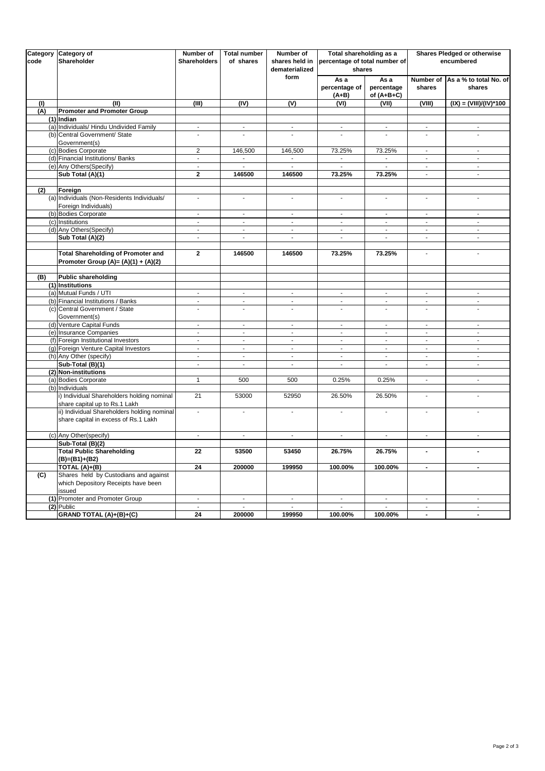| Category<br>code | Category of<br>Shareholder                     | Number of<br><b>Shareholders</b> | <b>Total number</b><br>of shares | Number of<br>shares held in<br>dematerialized | Total shareholding as a<br>percentage of total number of<br>shares |                          | Shares Pledged or otherwise<br>encumbered  |                                  |  |
|------------------|------------------------------------------------|----------------------------------|----------------------------------|-----------------------------------------------|--------------------------------------------------------------------|--------------------------|--------------------------------------------|----------------------------------|--|
|                  |                                                |                                  |                                  | form                                          | As a                                                               | As a                     | Number of                                  | As a % to total No. of           |  |
|                  |                                                |                                  |                                  |                                               | percentage of                                                      | percentage               | shares                                     | shares                           |  |
|                  |                                                |                                  |                                  |                                               | $(A+B)$                                                            | of $(A+B+C)$             |                                            |                                  |  |
| (1)              | (II)                                           | (III)                            | (IV)                             | (V)                                           | (VI)                                                               | (VII)                    | (VIII)                                     | $(IX) = (VIII)/(IV)*100$         |  |
| (A)              | <b>Promoter and Promoter Group</b>             |                                  |                                  |                                               |                                                                    |                          |                                            |                                  |  |
|                  | (1) Indian                                     |                                  |                                  |                                               |                                                                    |                          |                                            |                                  |  |
|                  | (a) Individuals/ Hindu Undivided Family        | $\blacksquare$                   | $\blacksquare$                   | $\blacksquare$                                | $\blacksquare$                                                     | $\blacksquare$           | $\blacksquare$                             | $\blacksquare$                   |  |
|                  | (b) Central Government/ State                  |                                  |                                  |                                               |                                                                    |                          |                                            |                                  |  |
|                  | Government(s)                                  |                                  |                                  |                                               |                                                                    |                          |                                            |                                  |  |
|                  | (c) Bodies Corporate                           | $\overline{2}$                   | 146,500                          | 146,500                                       | 73.25%                                                             | 73.25%                   | ÷,                                         | ä,                               |  |
|                  | (d) Financial Institutions/ Banks              | $\blacksquare$                   | $\sim$                           | $\overline{\phantom{a}}$                      | $\mathcal{L}_{\mathcal{A}}$                                        | $\overline{\phantom{a}}$ | $\Box$                                     | $\blacksquare$                   |  |
|                  | (e) Any Others (Specify)                       | $\overline{a}$                   |                                  | L.                                            | L,                                                                 |                          | ÷,                                         | $\Box$                           |  |
|                  | Sub Total (A)(1)                               | $\overline{2}$                   | 146500                           | 146500                                        | 73.25%                                                             | 73.25%                   | $\mathbf{r}$                               | $\mathbb{Z}^2$                   |  |
|                  |                                                |                                  |                                  |                                               |                                                                    |                          |                                            |                                  |  |
| (2)              | Foreign                                        |                                  |                                  |                                               |                                                                    |                          |                                            |                                  |  |
|                  | (a) Individuals (Non-Residents Individuals/    | $\overline{a}$                   | ÷,                               | $\blacksquare$                                | $\sim$                                                             | ÷,                       | $\overline{\phantom{a}}$                   | $\blacksquare$                   |  |
|                  | Foreign Individuals)                           |                                  |                                  |                                               |                                                                    |                          |                                            |                                  |  |
|                  | (b) Bodies Corporate                           | ä,                               | ÷,                               | $\blacksquare$                                | ÷.                                                                 | $\blacksquare$           | $\Box$                                     | $\Box$                           |  |
|                  | (c) Institutions                               | $\blacksquare$                   | $\overline{\phantom{a}}$         | $\mathcal{L}_{\mathcal{A}}$                   | $\blacksquare$                                                     | $\Box$                   | $\sim$                                     | $\sim$                           |  |
|                  | (d) Any Others (Specify)                       | $\blacksquare$                   | $\blacksquare$                   | $\Box$                                        | $\overline{\phantom{a}}$                                           | $\blacksquare$           | $\blacksquare$                             | $\Box$                           |  |
|                  | Sub Total (A)(2)                               | $\blacksquare$                   | $\overline{\phantom{a}}$         | $\Box$                                        | $\blacksquare$                                                     | $\blacksquare$           | $\blacksquare$                             | $\blacksquare$                   |  |
|                  |                                                |                                  |                                  |                                               |                                                                    |                          |                                            |                                  |  |
|                  | <b>Total Shareholding of Promoter and</b>      | $\mathbf{2}$                     | 146500                           | 146500                                        | 73.25%                                                             | 73.25%                   | $\sim$                                     | $\overline{\phantom{a}}$         |  |
|                  | Promoter Group (A)= $(A)(1) + (A)(2)$          |                                  |                                  |                                               |                                                                    |                          |                                            |                                  |  |
|                  |                                                |                                  |                                  |                                               |                                                                    |                          |                                            |                                  |  |
| (B)              | <b>Public shareholding</b><br>(1) Institutions |                                  |                                  |                                               |                                                                    |                          |                                            |                                  |  |
|                  | (a) Mutual Funds / UTI                         | $\blacksquare$                   | $\blacksquare$                   | $\blacksquare$                                | $\sim$                                                             | $\blacksquare$           | $\blacksquare$                             | $\blacksquare$                   |  |
|                  | (b) Financial Institutions / Banks             | $\overline{a}$                   | ÷,                               | $\sim$                                        | $\sim$                                                             | $\sim$                   | ÷,                                         | $\sim$                           |  |
|                  | (c) Central Government / State                 | L.                               | $\omega$                         | $\Box$                                        | $\Box$                                                             | $\overline{\phantom{a}}$ | $\mathbf{r}$                               | $\Box$                           |  |
|                  | Government(s)                                  |                                  |                                  |                                               |                                                                    |                          |                                            |                                  |  |
|                  | (d) Venture Capital Funds                      | $\blacksquare$                   | $\blacksquare$                   | $\blacksquare$                                | $\overline{\phantom{a}}$                                           | $\blacksquare$           | $\overline{\phantom{a}}$                   | ÷.                               |  |
|                  | (e) Insurance Companies                        | ÷,                               | ä,                               | ÷.                                            | $\mathbf{r}$                                                       | ÷,                       | $\mathbb{Z}^2$                             | $\mathbb{Z}^2$                   |  |
|                  | (f) Foreign Institutional Investors            | $\overline{\phantom{a}}$         | $\Box$                           | $\Box$                                        | $\blacksquare$                                                     | $\blacksquare$           | $\blacksquare$                             | $\Box$                           |  |
|                  | (g) Foreign Venture Capital Investors          | $\overline{\phantom{a}}$         | ä,                               | ÷.                                            | $\sim$                                                             | ÷,                       | $\mathbf{r}$                               | $\mathbf{r}$                     |  |
|                  | (h) Any Other (specify)                        | $\blacksquare$                   | $\blacksquare$                   | $\blacksquare$                                | $\blacksquare$                                                     | $\blacksquare$           | $\blacksquare$                             | $\overline{\phantom{a}}$         |  |
|                  | Sub-Total (B)(1)                               | $\Box$                           | $\overline{\phantom{a}}$         | ä,                                            | $\omega$                                                           | ä,                       | $\omega$                                   | $\omega$                         |  |
|                  | (2) Non-institutions                           |                                  |                                  |                                               |                                                                    |                          |                                            |                                  |  |
|                  | (a) Bodies Corporate                           | $\mathbf{1}$                     | 500                              | 500                                           | 0.25%                                                              | 0.25%                    | $\Box$                                     | $\Box$                           |  |
|                  | (b) Individuals                                |                                  |                                  |                                               |                                                                    |                          |                                            |                                  |  |
|                  | i) Individual Shareholders holding nominal     | 21                               | 53000                            | 52950                                         | 26.50%                                                             | 26.50%                   | ÷,                                         | $\Box$                           |  |
|                  | share capital up to Rs.1 Lakh                  |                                  |                                  |                                               |                                                                    |                          |                                            |                                  |  |
|                  | ii) Individual Shareholders holding nominal    | ä,                               | ÷,                               |                                               | ÷,                                                                 | L.                       | ä,                                         | ÷,                               |  |
|                  | share capital in excess of Rs.1 Lakh           |                                  |                                  |                                               |                                                                    |                          |                                            |                                  |  |
|                  |                                                |                                  |                                  |                                               |                                                                    |                          |                                            |                                  |  |
|                  | (c) Any Other(specify)                         | $\overline{\phantom{a}}$         | $\overline{\phantom{a}}$         | $\blacksquare$                                | $\mathcal{L}_{\mathcal{A}}$                                        | $\Box$                   | $\blacksquare$                             | $\blacksquare$                   |  |
|                  | Sub-Total (B)(2)                               |                                  |                                  |                                               |                                                                    |                          |                                            |                                  |  |
|                  | <b>Total Public Shareholding</b>               | 22                               | 53500                            | 53450                                         | 26.75%                                                             | 26.75%                   | $\overline{a}$                             | $\overline{a}$                   |  |
|                  | $(B)=(B1)+(B2)$                                |                                  |                                  |                                               |                                                                    |                          |                                            |                                  |  |
|                  | TOTAL (A)+(B)                                  | 24                               | 200000                           | 199950                                        | 100.00%                                                            | 100.00%                  | $\blacksquare$                             | $\blacksquare$                   |  |
| (C)              | Shares held by Custodians and against          |                                  |                                  |                                               |                                                                    |                          |                                            |                                  |  |
|                  | which Depository Receipts have been            |                                  |                                  |                                               |                                                                    |                          |                                            |                                  |  |
|                  | issued                                         |                                  |                                  |                                               |                                                                    |                          |                                            |                                  |  |
|                  | (1) Promoter and Promoter Group                | $\blacksquare$                   | $\mathcal{L}$                    | $\blacksquare$                                | $\blacksquare$                                                     | $\blacksquare$           | $\mathcal{L}_{\mathcal{A}}$                | $\sim$                           |  |
|                  | (2) Public<br>GRAND TOTAL (A)+(B)+(C)          | $\blacksquare$<br>24             | 200000                           |                                               |                                                                    | 100.00%                  | $\overline{\phantom{a}}$<br>$\blacksquare$ | $\blacksquare$<br>$\blacksquare$ |  |
|                  |                                                |                                  |                                  | 199950                                        | 100.00%                                                            |                          |                                            |                                  |  |